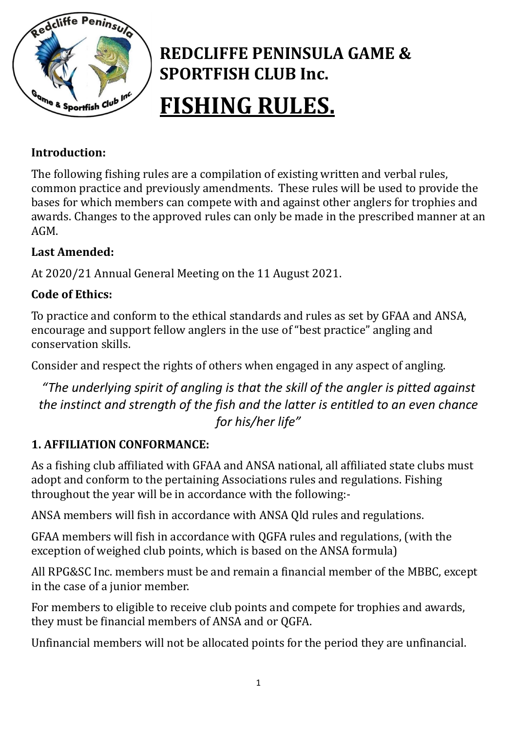

# REDCLIFFE PENINSULA GAME & SPORTFISH CLUB Inc. FISHING RULES.

## Introduction:

The following fishing rules are a compilation of existing written and verbal rules, common practice and previously amendments. These rules will be used to provide the bases for which members can compete with and against other anglers for trophies and awards. Changes to the approved rules can only be made in the prescribed manner at an AGM.

## Last Amended:

At 2020/21 Annual General Meeting on the 11 August 2021.

## Code of Ethics:

To practice and conform to the ethical standards and rules as set by GFAA and ANSA, encourage and support fellow anglers in the use of "best practice" angling and conservation skills.

Consider and respect the rights of others when engaged in any aspect of angling.

"The underlying spirit of angling is that the skill of the angler is pitted against the instinct and strength of the fish and the latter is entitled to an even chance for his/her life"

#### 1. AFFILIATION CONFORMANCE:

As a fishing club affiliated with GFAA and ANSA national, all affiliated state clubs must adopt and conform to the pertaining Associations rules and regulations. Fishing throughout the year will be in accordance with the following:-

ANSA members will fish in accordance with ANSA Qld rules and regulations.

GFAA members will fish in accordance with QGFA rules and regulations, (with the exception of weighed club points, which is based on the ANSA formula)

All RPG&SC Inc. members must be and remain a financial member of the MBBC, except in the case of a junior member.

For members to eligible to receive club points and compete for trophies and awards, they must be financial members of ANSA and or QGFA.

Unfinancial members will not be allocated points for the period they are unfinancial.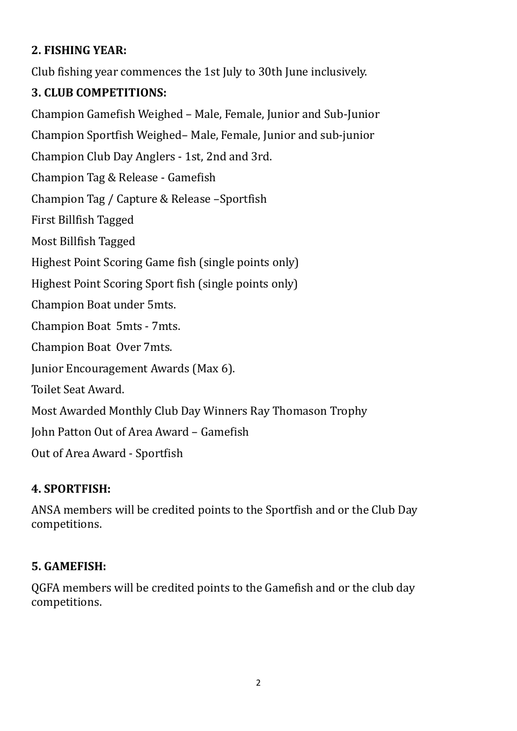## 2. FISHING YEAR:

Club fishing year commences the 1st July to 30th June inclusively.

#### 3. CLUB COMPETITIONS:

Champion Gamefish Weighed – Male, Female, Junior and Sub-Junior Champion Sportfish Weighed– Male, Female, Junior and sub-junior Champion Club Day Anglers - 1st, 2nd and 3rd. Champion Tag & Release - Gamefish Champion Tag / Capture & Release –Sportfish First Billfish Tagged Most Billfish Tagged Highest Point Scoring Game fish (single points only) Highest Point Scoring Sport fish (single points only) Champion Boat under 5mts. Champion Boat 5mts - 7mts. Champion Boat Over 7mts. Junior Encouragement Awards (Max 6). Toilet Seat Award. Most Awarded Monthly Club Day Winners Ray Thomason Trophy John Patton Out of Area Award – Gamefish Out of Area Award - Sportfish

#### 4. SPORTFISH:

ANSA members will be credited points to the Sportfish and or the Club Day competitions.

## 5. GAMEFISH:

QGFA members will be credited points to the Gamefish and or the club day competitions.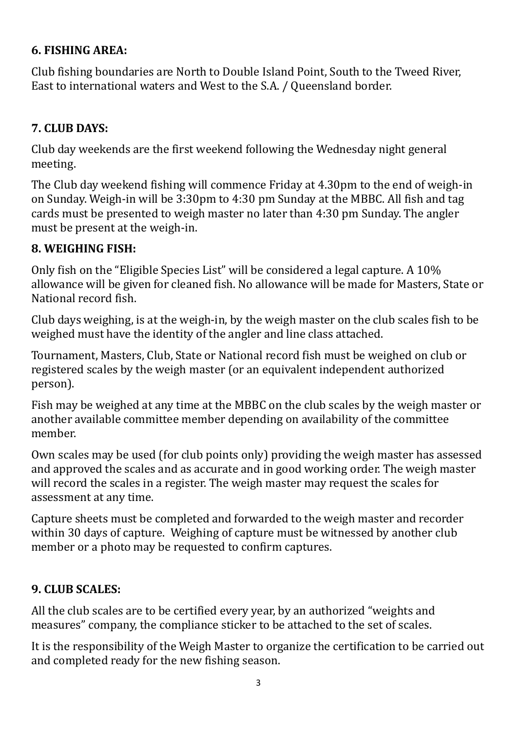## 6. FISHING AREA:

Club fishing boundaries are North to Double Island Point, South to the Tweed River, East to international waters and West to the S.A. / Queensland border.

## 7. CLUB DAYS:

Club day weekends are the first weekend following the Wednesday night general meeting.

The Club day weekend fishing will commence Friday at 4.30pm to the end of weigh-in on Sunday. Weigh-in will be 3:30pm to 4:30 pm Sunday at the MBBC. All fish and tag cards must be presented to weigh master no later than 4:30 pm Sunday. The angler must be present at the weigh-in.

## 8. WEIGHING FISH:

Only fish on the "Eligible Species List" will be considered a legal capture. A 10% allowance will be given for cleaned fish. No allowance will be made for Masters, State or National record fish.

Club days weighing, is at the weigh-in, by the weigh master on the club scales fish to be weighed must have the identity of the angler and line class attached.

Tournament, Masters, Club, State or National record fish must be weighed on club or registered scales by the weigh master (or an equivalent independent authorized person).

Fish may be weighed at any time at the MBBC on the club scales by the weigh master or another available committee member depending on availability of the committee member.

Own scales may be used (for club points only) providing the weigh master has assessed and approved the scales and as accurate and in good working order. The weigh master will record the scales in a register. The weigh master may request the scales for assessment at any time.

Capture sheets must be completed and forwarded to the weigh master and recorder within 30 days of capture. Weighing of capture must be witnessed by another club member or a photo may be requested to confirm captures.

#### 9. CLUB SCALES:

All the club scales are to be certified every year, by an authorized "weights and measures" company, the compliance sticker to be attached to the set of scales.

It is the responsibility of the Weigh Master to organize the certification to be carried out and completed ready for the new fishing season.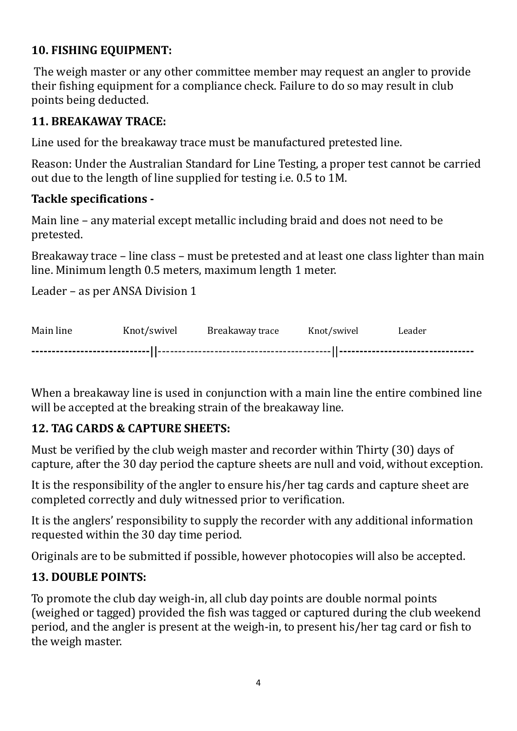## 10. FISHING EQUIPMENT:

 The weigh master or any other committee member may request an angler to provide their fishing equipment for a compliance check. Failure to do so may result in club points being deducted.

## 11. BREAKAWAY TRACE:

Line used for the breakaway trace must be manufactured pretested line.

Reason: Under the Australian Standard for Line Testing, a proper test cannot be carried out due to the length of line supplied for testing i.e. 0.5 to 1M.

#### Tackle specifications -

Main line – any material except metallic including braid and does not need to be pretested.

Breakaway trace – line class – must be pretested and at least one class lighter than main line. Minimum length 0.5 meters, maximum length 1 meter.

Leader – as per ANSA Division 1

|  | Main line Knot/swivel Breakaway trace Knot/swivel Leader |  |
|--|----------------------------------------------------------|--|
|  |                                                          |  |

When a breakaway line is used in conjunction with a main line the entire combined line will be accepted at the breaking strain of the breakaway line.

## 12. TAG CARDS & CAPTURE SHEETS:

Must be verified by the club weigh master and recorder within Thirty (30) days of capture, after the 30 day period the capture sheets are null and void, without exception.

It is the responsibility of the angler to ensure his/her tag cards and capture sheet are completed correctly and duly witnessed prior to verification.

It is the anglers' responsibility to supply the recorder with any additional information requested within the 30 day time period.

Originals are to be submitted if possible, however photocopies will also be accepted.

## 13. DOUBLE POINTS:

To promote the club day weigh-in, all club day points are double normal points (weighed or tagged) provided the fish was tagged or captured during the club weekend period, and the angler is present at the weigh-in, to present his/her tag card or fish to the weigh master.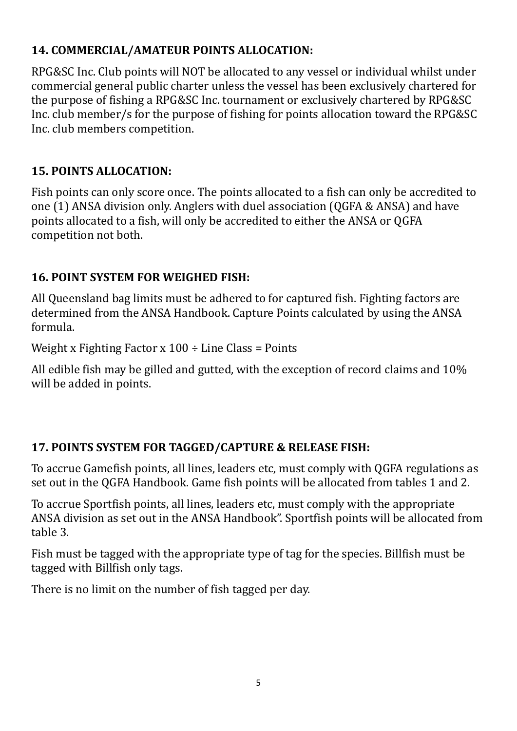#### 14. COMMERCIAL/AMATEUR POINTS ALLOCATION:

RPG&SC Inc. Club points will NOT be allocated to any vessel or individual whilst under commercial general public charter unless the vessel has been exclusively chartered for the purpose of fishing a RPG&SC Inc. tournament or exclusively chartered by RPG&SC Inc. club member/s for the purpose of fishing for points allocation toward the RPG&SC Inc. club members competition.

## 15. POINTS ALLOCATION:

Fish points can only score once. The points allocated to a fish can only be accredited to one (1) ANSA division only. Anglers with duel association (QGFA & ANSA) and have points allocated to a fish, will only be accredited to either the ANSA or QGFA competition not both.

## 16. POINT SYSTEM FOR WEIGHED FISH:

All Queensland bag limits must be adhered to for captured fish. Fighting factors are determined from the ANSA Handbook. Capture Points calculated by using the ANSA formula.

Weight x Fighting Factor x  $100 \div$  Line Class = Points

All edible fish may be gilled and gutted, with the exception of record claims and 10% will be added in points.

## 17. POINTS SYSTEM FOR TAGGED/CAPTURE & RELEASE FISH:

To accrue Gamefish points, all lines, leaders etc, must comply with QGFA regulations as set out in the QGFA Handbook. Game fish points will be allocated from tables 1 and 2.

To accrue Sportfish points, all lines, leaders etc, must comply with the appropriate ANSA division as set out in the ANSA Handbook". Sportfish points will be allocated from table 3.

Fish must be tagged with the appropriate type of tag for the species. Billfish must be tagged with Billfish only tags.

There is no limit on the number of fish tagged per day.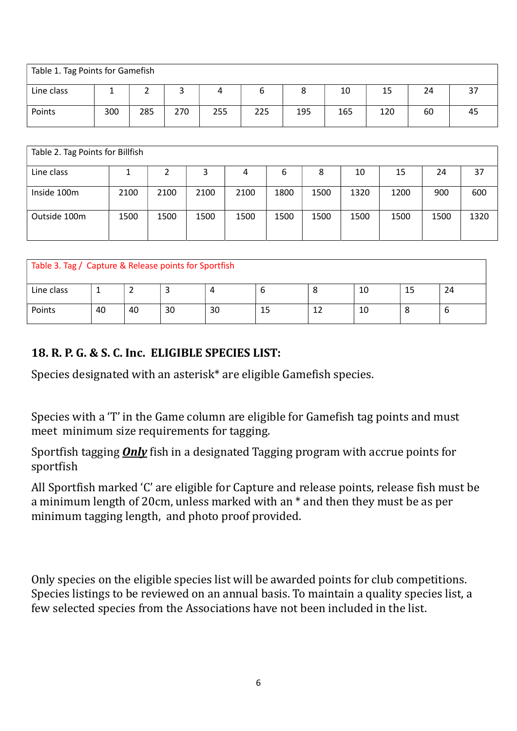| Table 1. Tag Points for Gamefish |     |     |     |     |     |     |     |     |    |                 |
|----------------------------------|-----|-----|-----|-----|-----|-----|-----|-----|----|-----------------|
| Line class                       |     |     | ر   |     |     |     | 10  | 15  | 24 | <u>эт</u><br>C. |
| Points                           | 300 | 285 | 270 | 255 | 225 | 195 | 165 | 120 | 60 | 45              |

| Table 2. Tag Points for Billfish |      |      |      |      |      |      |      |      |      |      |  |
|----------------------------------|------|------|------|------|------|------|------|------|------|------|--|
| Line class                       |      |      | 3    | 4    | 6    | 8    | 10   | 15   | 24   | 37   |  |
| Inside 100m                      | 2100 | 2100 | 2100 | 2100 | 1800 | 1500 | 1320 | 1200 | 900  | 600  |  |
| Outside 100m                     | 1500 | 1500 | 1500 | 1500 | 1500 | 1500 | 1500 | 1500 | 1500 | 1320 |  |

| Table 3. Tag / Capture & Release points for Sportfish |    |    |    |    |    |   |    |    |    |  |
|-------------------------------------------------------|----|----|----|----|----|---|----|----|----|--|
| Line class                                            |    |    |    |    |    | O | 10 | 15 | 24 |  |
| Points                                                | 40 | 40 | 30 | 30 | 15 |   | 10 | O  | O  |  |

## 18. R. P. G. & S. C. Inc. ELIGIBLE SPECIES LIST:

Species designated with an asterisk\* are eligible Gamefish species.

Species with a 'T' in the Game column are eligible for Gamefish tag points and must meet minimum size requirements for tagging.

Sportfish tagging  $Only$  fish in a designated Tagging program with accrue points for sportfish

All Sportfish marked 'C' are eligible for Capture and release points, release fish must be a minimum length of 20cm, unless marked with an \* and then they must be as per minimum tagging length, and photo proof provided.

Only species on the eligible species list will be awarded points for club competitions. Species listings to be reviewed on an annual basis. To maintain a quality species list, a few selected species from the Associations have not been included in the list.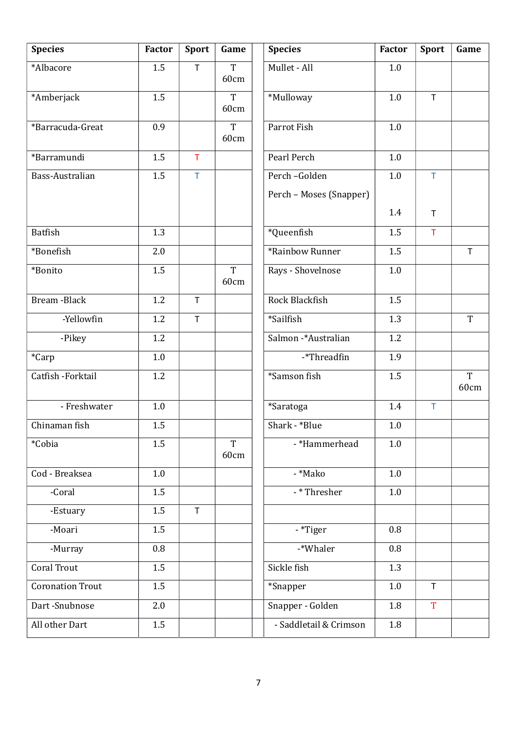| <b>Species</b>          | Factor | <b>Sport</b> | Game                   | <b>Species</b>          | Factor  | <b>Sport</b> | Game                   |
|-------------------------|--------|--------------|------------------------|-------------------------|---------|--------------|------------------------|
| *Albacore               | 1.5    | $\mathsf{T}$ | T<br>60cm              | Mullet - All            | 1.0     |              |                        |
| *Amberjack              | 1.5    |              | T<br>60cm              | *Mulloway               | 1.0     | $\mathsf T$  |                        |
| *Barracuda-Great        | 0.9    |              | $\overline{T}$<br>60cm | Parrot Fish             | 1.0     |              |                        |
| *Barramundi             | 1.5    | T            |                        | Pearl Perch             | 1.0     |              |                        |
| Bass-Australian         | 1.5    | $\mathsf T$  |                        | Perch-Golden            | 1.0     | $\mathsf T$  |                        |
|                         |        |              |                        | Perch - Moses (Snapper) |         |              |                        |
|                         |        |              |                        |                         | 1.4     | $\mathsf{T}$ |                        |
| <b>Batfish</b>          | 1.3    |              |                        | *Queenfish              | 1.5     | $\top$       |                        |
| *Bonefish               | 2.0    |              |                        | *Rainbow Runner         | 1.5     |              | $\mathsf T$            |
| *Bonito                 | 1.5    |              | $\overline{T}$<br>60cm | Rays - Shovelnose       | 1.0     |              |                        |
| Bream - Black           | 1.2    | $\mathsf T$  |                        | Rock Blackfish          | 1.5     |              |                        |
| -Yellowfin              | 1.2    | $\mathsf T$  |                        | *Sailfish               | 1.3     |              | T                      |
| -Pikey                  | 1.2    |              |                        | Salmon -*Australian     | 1.2     |              |                        |
| *Carp                   | 1.0    |              |                        | -*Threadfin             | 1.9     |              |                        |
| Catfish - Forktail      | 1.2    |              |                        | *Samson fish            | 1.5     |              | $\overline{T}$<br>60cm |
| - Freshwater            | 1.0    |              |                        | *Saratoga               | 1.4     | T            |                        |
| Chinaman fish           | 1.5    |              |                        | Shark - *Blue           | 1.0     |              |                        |
| *Cobia                  | 1.5    |              | T<br>60cm              | - *Hammerhead           | 1.0     |              |                        |
| Cod - Breaksea          | 1.0    |              |                        | - *Mako                 | 1.0     |              |                        |
| -Coral                  | 1.5    |              |                        | - * Thresher            | $1.0\,$ |              |                        |
| -Estuary                | 1.5    | $\mathsf{T}$ |                        |                         |         |              |                        |
| -Moari                  | 1.5    |              |                        | - *Tiger                | 0.8     |              |                        |
| -Murray                 | 0.8    |              |                        | -*Whaler                | 0.8     |              |                        |
| Coral Trout             | 1.5    |              |                        | Sickle fish             | 1.3     |              |                        |
| <b>Coronation Trout</b> | 1.5    |              |                        | *Snapper                | $1.0\,$ | $\top$       |                        |
| Dart-Snubnose           | 2.0    |              |                        | Snapper - Golden        | $1.8\,$ | T            |                        |
| All other Dart          | 1.5    |              |                        | - Saddletail & Crimson  | 1.8     |              |                        |